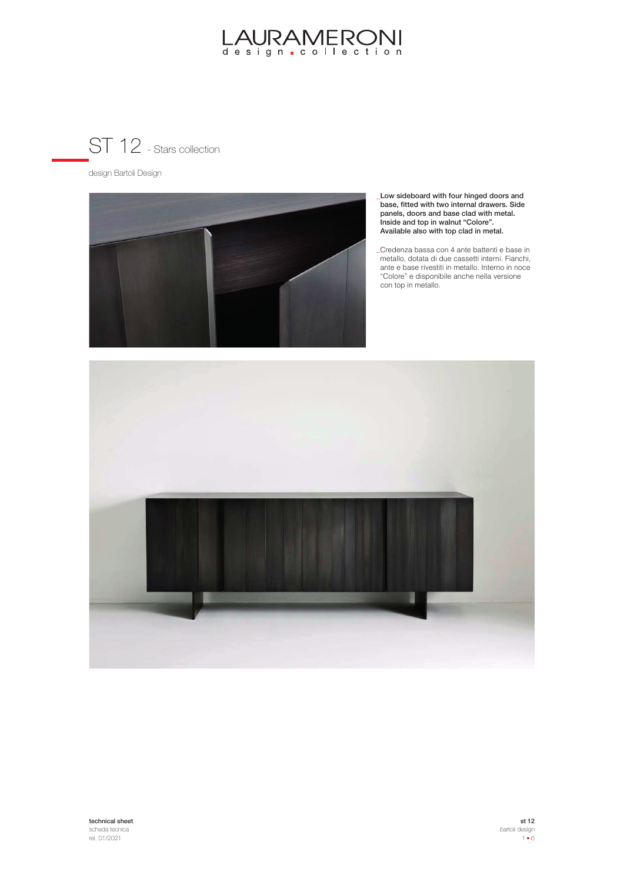

design Bartoli Design



Low sideboard with four hinged doors and **\_** base, fitted with two internal drawers. Side panels, doors and base clad with metal. Inside and top in walnut "Colore". Available also with top clad in metal.

Credenza bassa con 4 ante battenti e base in **\_**metallo, dotata di due cassetti interni. Fianchi, ante e base rivestiti in metallo. Interno in noce "Colore" e disponibile anche nella versione con top in metallo.

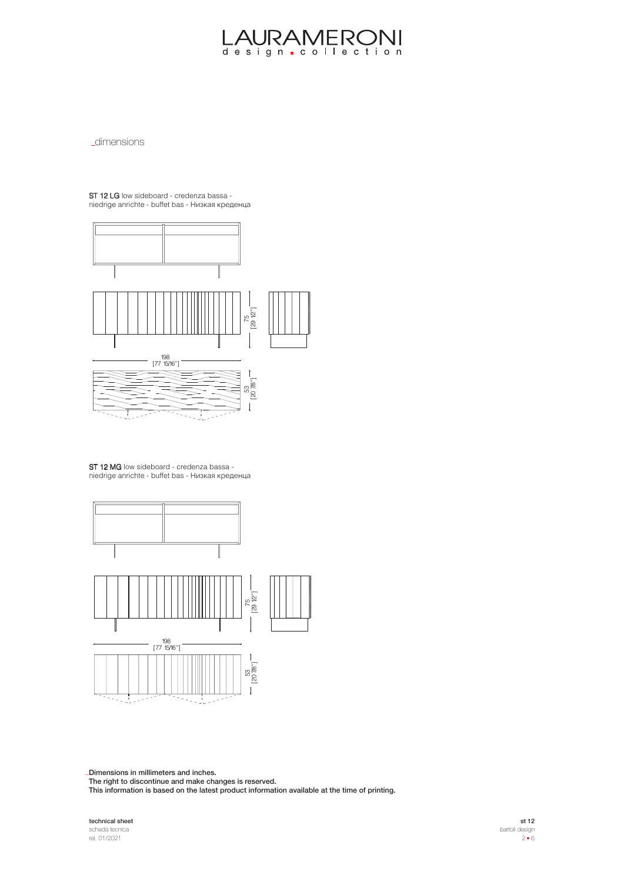**\_dimensions** 

ST 12 LG low sideboard - credenza bassa niedrige anrichte - buffet bas - Низкая креденца



ST 12 MG low sideboard - credenza bassa niedrige anrichte - buffet bas - Низкая креденца



Dimensions in millimeters and inches. **\_**

The right to discontinue and make changes is reserved.

This information is based on the latest product information available at the time of printing.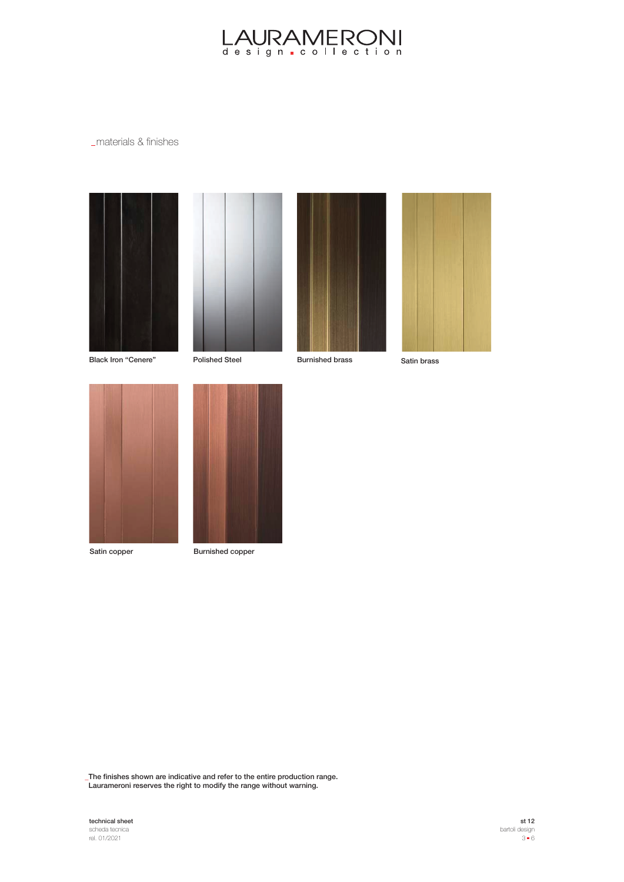### materials & finishes









Black Iron "Cenere" Polished Steel Burnished brass Satin brass





Satin copper Burnished copper

The finishes shown are indicative and refer to the entire production range. **\_** Laurameroni reserves the right to modify the range without warning.

## **technical sheet**<br>scheda tecnica<br>rel. 01/2021

st 12 bartoli design  $3 - 6$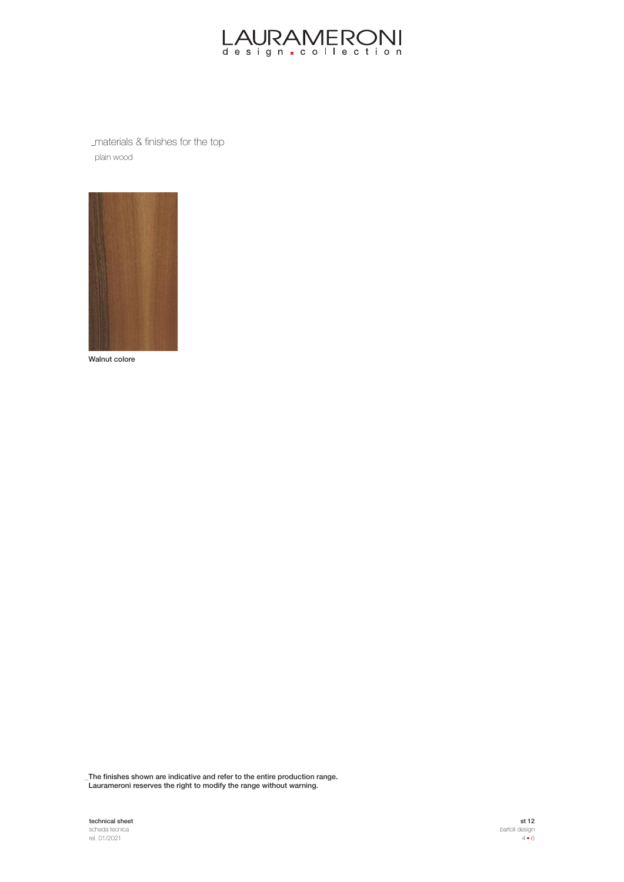

materials & finishes for the top plain wood



Walnut colore

The finishes shown are indicative and refer to the entire production range. **\_** Laurameroni reserves the right to modify the range without warning.

technical sheet scheda tecnica rel. 01/2021

st 12 bartoli design  $4 \bullet 6$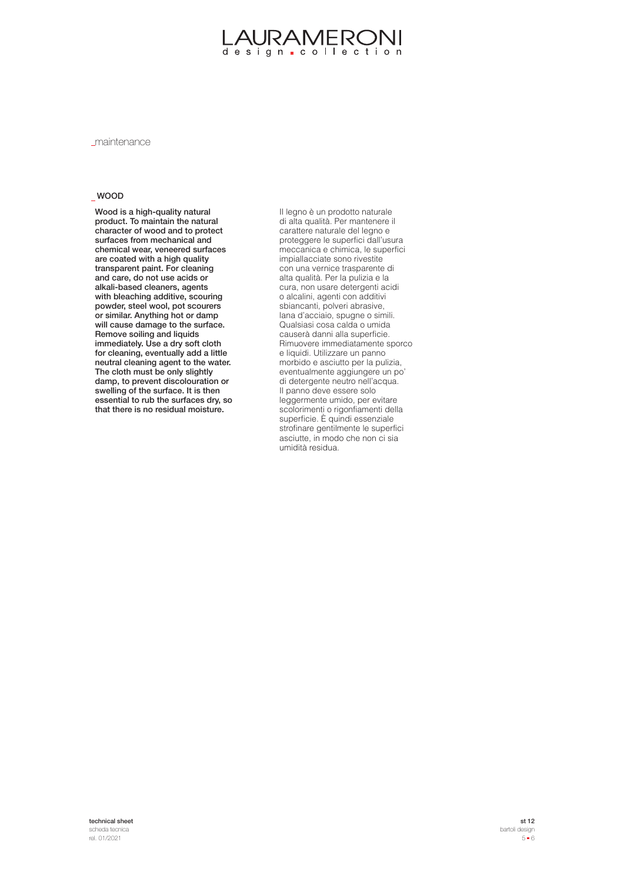maintenance

### WOOD

Wood is a high-quality natural product. To maintain the natural character of wood and to protect surfaces from mechanical and chemical wear, veneered surfaces are coated with a high quality transparent paint. For cleaning and care, do not use acids or alkali-based cleaners, agents with bleaching additive, scouring powder, steel wool, pot scourers or similar. Anything hot or damp will cause damage to the surface. Remove soiling and liquids immediately. Use a dry soft cloth for cleaning, eventually add a little neutral cleaning agent to the water. The cloth must be only slightly damp, to prevent discolouration or swelling of the surface. It is then essential to rub the surfaces dry, so that there is no residual moisture.

Il legno è un prodotto naturale di alta qualità. Per mantenere il carattere naturale del legno e proteggere le superfici dall'usura meccanica e chimica, le superfici impiallacciate sono rivestite con una vernice trasparente di alta qualità. Per la pulizia e la cura, non usare detergenti acidi o alcalini, agenti con additivi sbiancanti, polveri abrasive, lana d'acciaio, spugne o simili. Qualsiasi cosa calda o umida causerà danni alla superficie. Rimuovere immediatamente sporco e liquidi. Utilizzare un panno morbido e asciutto per la pulizia, eventualmente aggiungere un po' di detergente neutro nell'acqua. Il panno deve essere solo leggermente umido, per evitare scolorimenti o rigonfiamenti della superficie. È quindi essenziale strofinare gentilmente le superfici asciutte, in modo che non ci sia umidità residua.

technical sheet scheda tecnica rel. 01/2021

st 12 bartoli design 5 6